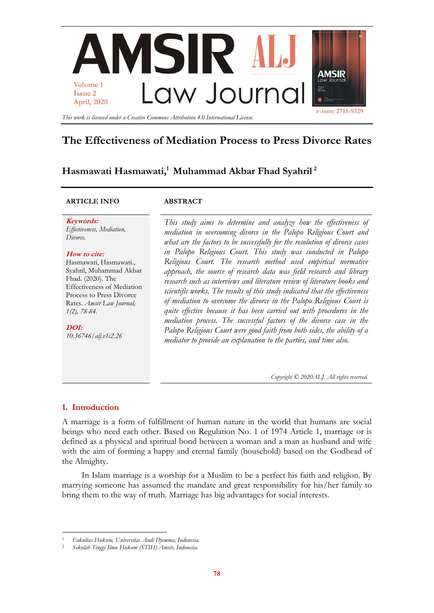

# **The Effectiveness of Mediation Process to Press Divorce Rates**

# **Hasmawati Hasmawati, <sup>1</sup> Muhammad Akbar Fhad Syahril <sup>2</sup>**

### **ARTICLE INFO ABSTRACT**

**Keywords:** *Effectiveness, Mediation, Divorce.*

#### **How to cite:**

Hasmawati, Hasmawati., Syahril, Muhammad Akbar Fhad. (2020). The Effectiveness of Mediation Process to Press Divorce Rates. *Amsir Law Journal, 1(2), 78-84.*

**DOI:** *10.36746/alj.v1i2.26* *This study aims to determine and analyze how the effectiveness of mediation in overcoming divorce in the Palopo Religious Court and what are the factors to be successfully for the resolution of divorce cases in Palopo Religious Court. This study was conducted in Palopo Religious Court. The research method used empirical normative approach, the source of research data was field research and library research such as interviews and literature review of literature books and scientific works. The results of this study indicated that the effectiveness of mediation to overcome the divorce in the Palopo Religious Court is quite effective because it has been carried out with procedures in the mediation process. The successful factors of the divorce case in the Palopo Religious Court were good faith from both sides, the ability of a mediator to provide an explanation to the parties, and time also.*

*Copyright © 2020ALJ. All rights reserved.*

# **1. Introduction**

 $\overline{a}$ 

A marriage is a form of fulfillment of human nature in the world that humans are social beings who need each other. Based on Regulation No. 1 of 1974 Article 1, marriage or is defined as a physical and spiritual bond between a woman and a man as husband and wife with the aim of forming a happy and eternal family (household) based on the Godhead of the Almighty.

In Islam marriage is a worship for a Muslim to be a perfect his faith and religion. By marrying someone has assumed the mandate and great responsibility for his/her family to bring them to the way of truth. Marriage has big advantages for social interests.

<sup>1</sup> *Fakultas Hukum, Universitas Andi Djemma, Indonesia.*

<sup>2</sup> *Sekolah Tinggi Ilmu Hukum (STIH) Amsir, Indonesia.*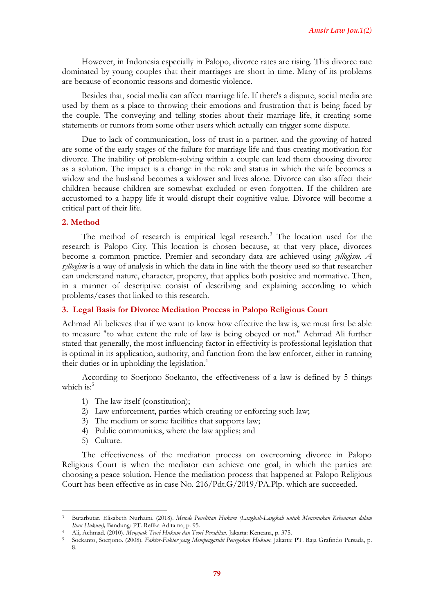However, in Indonesia especially in Palopo, divorce rates are rising. This divorce rate dominated by young couples that their marriages are short in time. Many of its problems are because of economic reasons and domestic violence.

Besides that, social media can affect marriage life. If there's a dispute, social media are used by them as a place to throwing their emotions and frustration that is being faced by the couple. The conveying and telling stories about their marriage life, it creating some statements or rumors from some other users which actually can trigger some dispute.

Due to lack of communication, loss of trust in a partner, and the growing of hatred are some of the early stages of the failure for marriage life and thus creating motivation for divorce. The inability of problem-solving within a couple can lead them choosing divorce as a solution. The impact is a change in the role and status in which the wife becomes a widow and the husband becomes a widower and lives alone. Divorce can also affect their children because children are somewhat excluded or even forgotten. If the children are accustomed to a happy life it would disrupt their cognitive value. Divorce will become a critical part of their life.

## **2. Method**

The method of research is empirical legal research.<sup>3</sup> The location used for the research is Palopo City. This location is chosen because, at that very place, divorces become a common practice. Premier and secondary data are achieved using *syllogism. A syllogism* is a way of analysis in which the data in line with the theory used so that researcher can understand nature, character, property, that applies both positive and normative. Then, in a manner of descriptive consist of describing and explaining according to which problems/cases that linked to this research.

#### **3. Legal Basis for Divorce Mediation Process in Palopo Religious Court**

Achmad Ali believes that if we want to know how effective the law is, we must first be able to measure "to what extent the rule of law is being obeyed or not." Achmad Ali further stated that generally, the most influencing factor in effectivity is professional legislation that is optimal in its application, authority, and function from the law enforcer, either in running their duties or in upholding the legislation.<sup>4</sup>

According to Soerjono Soekanto, the effectiveness of a law is defined by 5 things which is: $5$ 

- 1) The law itself (constitution);
- 2) Law enforcement, parties which creating or enforcing such law;
- 3) The medium or some facilities that supports law;
- 4) Public communities, where the law applies; and
- 5) Culture.

1

The effectiveness of the mediation process on overcoming divorce in Palopo Religious Court is when the mediator can achieve one goal, in which the parties are choosing a peace solution. Hence the mediation process that happened at Palopo Religious Court has been effective as in case No. 216/Pdt.G/2019/PA.Plp. which are succeeded.

<sup>3</sup> Butarbutar, Elisabeth Nurhaini. (2018). *Metode Penelitian Hukum (Langkah-Langkah untuk Menemukan Kebenaran dalam Ilmu Hukum),* Bandung: PT. Refika Aditama, p. 95.

<sup>4</sup> Ali, Achmad. (2010). *Menguak Teori Hukum dan Teori Peradilan.* Jakarta: Kencana, p. 375.

<sup>5</sup> Soekanto, Soerjono. (2008). *Faktor-Faktor yang Mempengaruhi Penegakan Hukum.* Jakarta: PT. Raja Grafindo Persada, p. 8.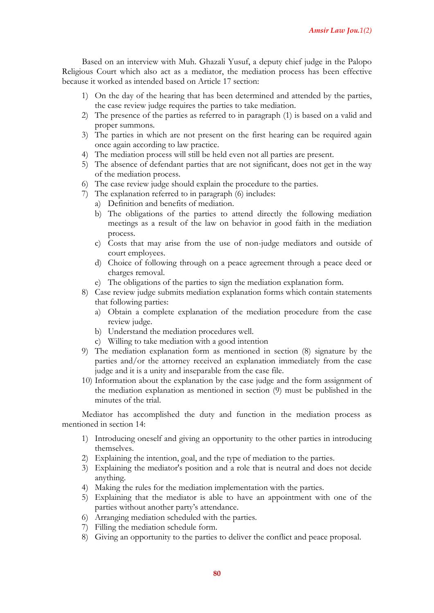Based on an interview with Muh. Ghazali Yusuf, a deputy chief judge in the Palopo Religious Court which also act as a mediator, the mediation process has been effective because it worked as intended based on Article 17 section:

- 1) On the day of the hearing that has been determined and attended by the parties, the case review judge requires the parties to take mediation.
- 2) The presence of the parties as referred to in paragraph (1) is based on a valid and proper summons.
- 3) The parties in which are not present on the first hearing can be required again once again according to law practice.
- 4) The mediation process will still be held even not all parties are present.
- 5) The absence of defendant parties that are not significant, does not get in the way of the mediation process.
- 6) The case review judge should explain the procedure to the parties.
- 7) The explanation referred to in paragraph (6) includes:
	- a) Definition and benefits of mediation.
	- b) The obligations of the parties to attend directly the following mediation meetings as a result of the law on behavior in good faith in the mediation process.
	- c) Costs that may arise from the use of non-judge mediators and outside of court employees.
	- d) Choice of following through on a peace agreement through a peace deed or charges removal.
	- e) The obligations of the parties to sign the mediation explanation form.
- 8) Case review judge submits mediation explanation forms which contain statements that following parties:
	- a) Obtain a complete explanation of the mediation procedure from the case review judge.
	- b) Understand the mediation procedures well.
	- c) Willing to take mediation with a good intention
- 9) The mediation explanation form as mentioned in section (8) signature by the parties and/or the attorney received an explanation immediately from the case judge and it is a unity and inseparable from the case file.
- 10) Information about the explanation by the case judge and the form assignment of the mediation explanation as mentioned in section (9) must be published in the minutes of the trial.

Mediator has accomplished the duty and function in the mediation process as mentioned in section 14:

- 1) Introducing oneself and giving an opportunity to the other parties in introducing themselves.
- 2) Explaining the intention, goal, and the type of mediation to the parties.
- 3) Explaining the mediator's position and a role that is neutral and does not decide anything.
- 4) Making the rules for the mediation implementation with the parties.
- 5) Explaining that the mediator is able to have an appointment with one of the parties without another party's attendance.
- 6) Arranging mediation scheduled with the parties.
- 7) Filling the mediation schedule form.
- 8) Giving an opportunity to the parties to deliver the conflict and peace proposal.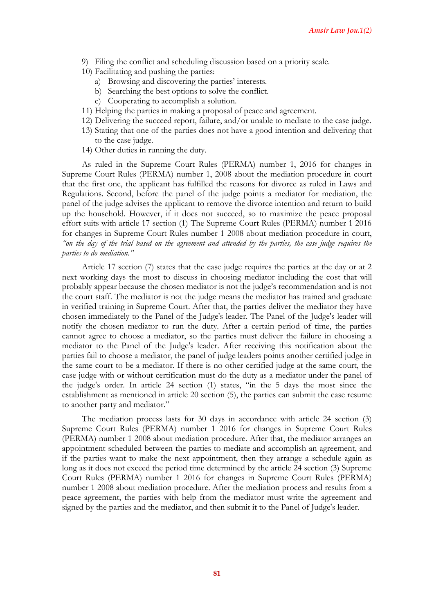- 9) Filing the conflict and scheduling discussion based on a priority scale.
- 10) Facilitating and pushing the parties:
	- a) Browsing and discovering the parties' interests.
	- b) Searching the best options to solve the conflict.
	- c) Cooperating to accomplish a solution.
- 11) Helping the parties in making a proposal of peace and agreement.
- 12) Delivering the succeed report, failure, and/or unable to mediate to the case judge.
- 13) Stating that one of the parties does not have a good intention and delivering that to the case judge.
- 14) Other duties in running the duty.

As ruled in the Supreme Court Rules (PERMA) number 1, 2016 for changes in Supreme Court Rules (PERMA) number 1, 2008 about the mediation procedure in court that the first one, the applicant has fulfilled the reasons for divorce as ruled in Laws and Regulations. Second, before the panel of the judge points a mediator for mediation, the panel of the judge advises the applicant to remove the divorce intention and return to build up the household. However, if it does not succeed, so to maximize the peace proposal effort suits with article 17 section (1) The Supreme Court Rules (PERMA) number 1 2016 for changes in Supreme Court Rules number 1 2008 about mediation procedure in court, *"on the day of the trial based on the agreement and attended by the parties, the case judge requires the parties to do mediation."*

Article 17 section (7) states that the case judge requires the parties at the day or at 2 next working days the most to discuss in choosing mediator including the cost that will probably appear because the chosen mediator is not the judge's recommendation and is not the court staff. The mediator is not the judge means the mediator has trained and graduate in verified training in Supreme Court. After that, the parties deliver the mediator they have chosen immediately to the Panel of the Judge's leader. The Panel of the Judge's leader will notify the chosen mediator to run the duty. After a certain period of time, the parties cannot agree to choose a mediator, so the parties must deliver the failure in choosing a mediator to the Panel of the Judge's leader. After receiving this notification about the parties fail to choose a mediator, the panel of judge leaders points another certified judge in the same court to be a mediator. If there is no other certified judge at the same court, the case judge with or without certification must do the duty as a mediator under the panel of the judge's order. In article 24 section (1) states, "in the 5 days the most since the establishment as mentioned in article 20 section (5), the parties can submit the case resume to another party and mediator."

The mediation process lasts for 30 days in accordance with article 24 section (3) Supreme Court Rules (PERMA) number 1 2016 for changes in Supreme Court Rules (PERMA) number 1 2008 about mediation procedure. After that, the mediator arranges an appointment scheduled between the parties to mediate and accomplish an agreement, and if the parties want to make the next appointment, then they arrange a schedule again as long as it does not exceed the period time determined by the article 24 section (3) Supreme Court Rules (PERMA) number 1 2016 for changes in Supreme Court Rules (PERMA) number 1 2008 about mediation procedure. After the mediation process and results from a peace agreement, the parties with help from the mediator must write the agreement and signed by the parties and the mediator, and then submit it to the Panel of Judge's leader.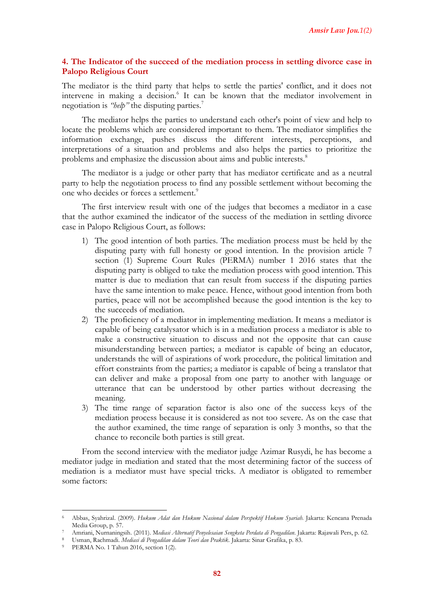# **4. The Indicator of the succeed of the mediation process in settling divorce case in Palopo Religious Court**

The mediator is the third party that helps to settle the parties' conflict, and it does not intervene in making a decision.<sup>6</sup> It can be known that the mediator involvement in negotiation is *"help*" the disputing parties.<sup>7</sup>

The mediator helps the parties to understand each other's point of view and help to locate the problems which are considered important to them. The mediator simplifies the information exchange, pushes discuss the different interests, perceptions, and interpretations of a situation and problems and also helps the parties to prioritize the problems and emphasize the discussion about aims and public interests.<sup>8</sup>

The mediator is a judge or other party that has mediator certificate and as a neutral party to help the negotiation process to find any possible settlement without becoming the one who decides or forces a settlement.<sup>9</sup>

The first interview result with one of the judges that becomes a mediator in a case that the author examined the indicator of the success of the mediation in settling divorce case in Palopo Religious Court, as follows:

- 1) The good intention of both parties. The mediation process must be held by the disputing party with full honesty or good intention. In the provision article 7 section (1) Supreme Court Rules (PERMA) number 1 2016 states that the disputing party is obliged to take the mediation process with good intention. This matter is due to mediation that can result from success if the disputing parties have the same intention to make peace. Hence, without good intention from both parties, peace will not be accomplished because the good intention is the key to the succeeds of mediation.
- 2) The proficiency of a mediator in implementing mediation. It means a mediator is capable of being catalysator which is in a mediation process a mediator is able to make a constructive situation to discuss and not the opposite that can cause misunderstanding between parties; a mediator is capable of being an educator, understands the will of aspirations of work procedure, the political limitation and effort constraints from the parties; a mediator is capable of being a translator that can deliver and make a proposal from one party to another with language or utterance that can be understood by other parties without decreasing the meaning.
- 3) The time range of separation factor is also one of the success keys of the mediation process because it is considered as not too severe. As on the case that the author examined, the time range of separation is only 3 months, so that the chance to reconcile both parties is still great.

From the second interview with the mediator judge Azimar Rusydi, he has become a mediator judge in mediation and stated that the most determining factor of the success of mediation is a mediator must have special tricks. A mediator is obligated to remember some factors:

1

<sup>6</sup> Abbas, Syahrizal. (2009). *Hukum Adat dan Hukum Nasional dalam Perspektif Hukum Syariah.* Jakarta: Kencana Prenada Media Group, p. 57.

<sup>7</sup> Amriani, Nurnaningsih. (2011). M*ediasi Alternatif Penyelesaian Sengketa Perdata di Pengadilan*. Jakarta: Rajawali Pers, p. 62.

<sup>8</sup> Usman, Rachmadi. *Mediasi di Pengadilan dalam Teori dan Praktik.* Jakarta: Sinar Grafika, p. 83.

PERMA No. 1 Tahun 2016, section 1(2).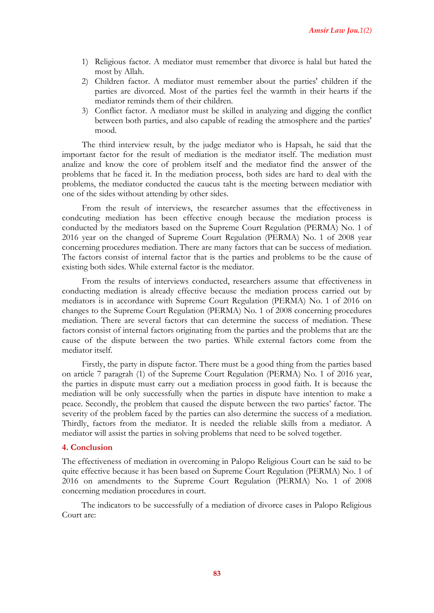- 1) Religious factor. A mediator must remember that divorce is halal but hated the most by Allah.
- 2) Children factor. A mediator must remember about the parties' children if the parties are divorced. Most of the parties feel the warmth in their hearts if the mediator reminds them of their children.
- 3) Conflict factor. A mediator must be skilled in analyzing and digging the conflict between both parties, and also capable of reading the atmosphere and the parties' mood.

The third interview result, by the judge mediator who is Hapsah, he said that the important factor for the result of mediation is the mediator itself. The mediation must analize and know the core of problem itself and the mediator find the answer of the problems that he faced it. In the mediation process, both sides are hard to deal with the problems, the mediator conducted the caucus taht is the meeting between mediatior with one of the sides without attending by other sides.

From the result of interviews, the researcher assumes that the effectiveness in condcuting mediation has been effective enough because the mediation process is conducted by the mediators based on the Supreme Court Regulation (PERMA) No. 1 of 2016 year on the changed of Supreme Court Regulation (PERMA) No. 1 of 2008 year concerning procedures mediation. There are many factors that can be success of mediation. The factors consist of internal factor that is the parties and problems to be the cause of existing both sides. While external factor is the mediator.

From the results of interviews conducted, researchers assume that effectiveness in conducting mediation is already effective because the mediation process carried out by mediators is in accordance with Supreme Court Regulation (PERMA) No. 1 of 2016 on changes to the Supreme Court Regulation (PERMA) No. 1 of 2008 concerning procedures mediation. There are several factors that can determine the success of mediation. These factors consist of internal factors originating from the parties and the problems that are the cause of the dispute between the two parties. While external factors come from the mediator itself.

Firstly, the party in dispute factor. There must be a good thing from the parties based on article 7 paragrah (1) of the Supreme Court Regulation (PERMA) No. 1 of 2016 year, the parties in dispute must carry out a mediation process in good faith. It is because the mediation will be only successfully when the parties in dispute have intention to make a peace. Secondly, the problem that caused the dispute between the two parties' factor. The severity of the problem faced by the parties can also determine the success of a mediation. Thirdly, factors from the mediator. It is needed the reliable skills from a mediator. A mediator will assist the parties in solving problems that need to be solved together.

### **4. Conclusion**

The effectiveness of mediation in overcoming in Palopo Religious Court can be said to be quite effective because it has been based on Supreme Court Regulation (PERMA) No. 1 of 2016 on amendments to the Supreme Court Regulation (PERMA) No. 1 of 2008 concerning mediation procedures in court.

The indicators to be successfully of a mediation of divorce cases in Palopo Religious Court are: